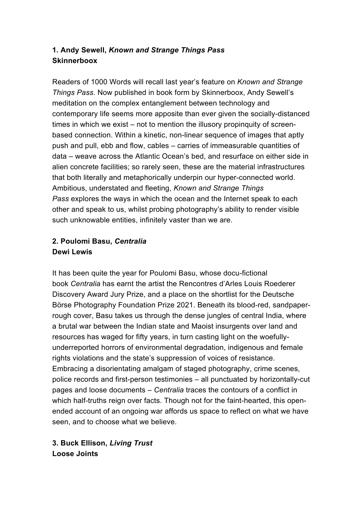## **1. Andy Sewell,** *Known and Strange Things Pass* **Skinnerboox**

Readers of 1000 Words will recall last year's feature on *Known and Strange Things Pass*. Now published in book form by Skinnerboox, Andy Sewell's meditation on the complex entanglement between technology and contemporary life seems more apposite than ever given the socially-distanced times in which we exist – not to mention the illusory propinquity of screenbased connection. Within a kinetic, non-linear sequence of images that aptly push and pull, ebb and flow, cables – carries of immeasurable quantities of data – weave across the Atlantic Ocean's bed, and resurface on either side in alien concrete facilities; so rarely seen, these are the material infrastructures that both literally and metaphorically underpin our hyper-connected world. Ambitious, understated and fleeting, *Known and Strange Things Pass* explores the ways in which the ocean and the Internet speak to each other and speak to us, whilst probing photography's ability to render visible such unknowable entities, infinitely vaster than we are.

# **2. Poulomi Basu,** *Centralia* **Dewi Lewis**

It has been quite the year for Poulomi Basu, whose docu-fictional book *Centralia* has earnt the artist the Rencontres d'Arles Louis Roederer Discovery Award Jury Prize, and a place on the shortlist for the Deutsche Börse Photography Foundation Prize 2021. Beneath its blood-red, sandpaperrough cover, Basu takes us through the dense jungles of central India, where a brutal war between the Indian state and Maoist insurgents over land and resources has waged for fifty years, in turn casting light on the woefullyunderreported horrors of environmental degradation, indigenous and female rights violations and the state's suppression of voices of resistance. Embracing a disorientating amalgam of staged photography, crime scenes, police records and first-person testimonies – all punctuated by horizontally-cut pages and loose documents – *Centralia* traces the contours of a conflict in which half-truths reign over facts. Though not for the faint-hearted, this openended account of an ongoing war affords us space to reflect on what we have seen, and to choose what we believe.

**3. Buck Ellison,** *Living Trust* **Loose Joints**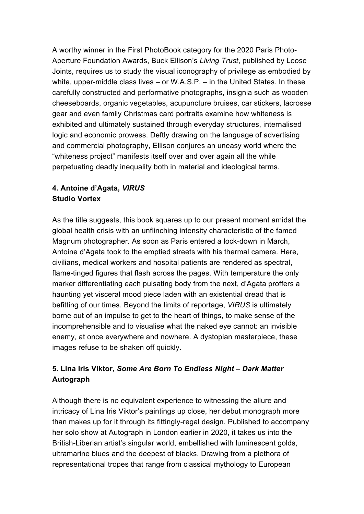A worthy winner in the First PhotoBook category for the 2020 Paris Photo-Aperture Foundation Awards, Buck Ellison's *Living Trust*, published by Loose Joints, requires us to study the visual iconography of privilege as embodied by white, upper-middle class lives – or W.A.S.P. – in the United States. In these carefully constructed and performative photographs, insignia such as wooden cheeseboards, organic vegetables, acupuncture bruises, car stickers, lacrosse gear and even family Christmas card portraits examine how whiteness is exhibited and ultimately sustained through everyday structures, internalised logic and economic prowess. Deftly drawing on the language of advertising and commercial photography, Ellison conjures an uneasy world where the "whiteness project" manifests itself over and over again all the while perpetuating deadly inequality both in material and ideological terms.

## **4. Antoine d'Agata,** *VIRUS* **Studio Vortex**

As the title suggests, this book squares up to our present moment amidst the global health crisis with an unflinching intensity characteristic of the famed Magnum photographer. As soon as Paris entered a lock-down in March, Antoine d'Agata took to the emptied streets with his thermal camera. Here, civilians, medical workers and hospital patients are rendered as spectral, flame-tinged figures that flash across the pages. With temperature the only marker differentiating each pulsating body from the next, d'Agata proffers a haunting yet visceral mood piece laden with an existential dread that is befitting of our times. Beyond the limits of reportage, *VIRUS* is ultimately borne out of an impulse to get to the heart of things, to make sense of the incomprehensible and to visualise what the naked eye cannot: an invisible enemy, at once everywhere and nowhere. A dystopian masterpiece, these images refuse to be shaken off quickly.

# **5. Lina Iris Viktor,** *Some Are Born To Endless Night – Dark Matter* **Autograph**

Although there is no equivalent experience to witnessing the allure and intricacy of Lina Iris Viktor's paintings up close, her debut monograph more than makes up for it through its fittingly-regal design. Published to accompany her solo show at Autograph in London earlier in 2020, it takes us into the British-Liberian artist's singular world, embellished with luminescent golds, ultramarine blues and the deepest of blacks. Drawing from a plethora of representational tropes that range from classical mythology to European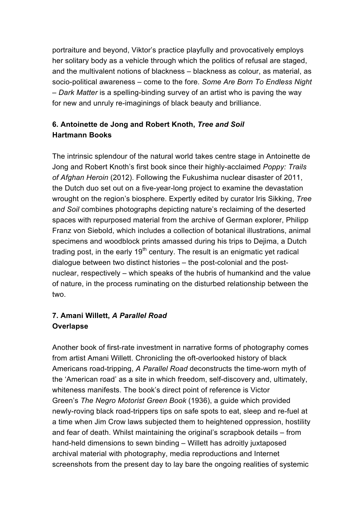portraiture and beyond, Viktor's practice playfully and provocatively employs her solitary body as a vehicle through which the politics of refusal are staged, and the multivalent notions of blackness – blackness as colour, as material, as socio-political awareness – come to the fore. *Some Are Born To Endless Night – Dark Matter* is a spelling-binding survey of an artist who is paving the way for new and unruly re-imaginings of black beauty and brilliance.

### **6. Antoinette de Jong and Robert Knoth,** *Tree and Soil* **Hartmann Books**

The intrinsic splendour of the natural world takes centre stage in Antoinette de Jong and Robert Knoth's first book since their highly-acclaimed *Poppy: Trails of Afghan Heroin* (2012). Following the Fukushima nuclear disaster of 2011, the Dutch duo set out on a five-year-long project to examine the devastation wrought on the region's biosphere. Expertly edited by curator Iris Sikking, *Tree and Soil* combines photographs depicting nature's reclaiming of the deserted spaces with repurposed material from the archive of German explorer, Philipp Franz von Siebold, which includes a collection of botanical illustrations, animal specimens and woodblock prints amassed during his trips to Dejima, a Dutch trading post, in the early  $19<sup>th</sup>$  century. The result is an enigmatic yet radical dialogue between two distinct histories – the post-colonial and the postnuclear, respectively – which speaks of the hubris of humankind and the value of nature, in the process ruminating on the disturbed relationship between the two.

## **7. Amani Willett,** *A Parallel Road* **Overlapse**

Another book of first-rate investment in narrative forms of photography comes from artist Amani Willett. Chronicling the oft-overlooked history of black Americans road-tripping, *A Parallel Road* deconstructs the time-worn myth of the 'American road' as a site in which freedom, self-discovery and, ultimately, whiteness manifests. The book's direct point of reference is Victor Green's *The Negro Motorist Green Book* (1936), a guide which provided newly-roving black road-trippers tips on safe spots to eat, sleep and re-fuel at a time when Jim Crow laws subjected them to heightened oppression, hostility and fear of death. Whilst maintaining the original's scrapbook details – from hand-held dimensions to sewn binding – Willett has adroitly juxtaposed archival material with photography, media reproductions and Internet screenshots from the present day to lay bare the ongoing realities of systemic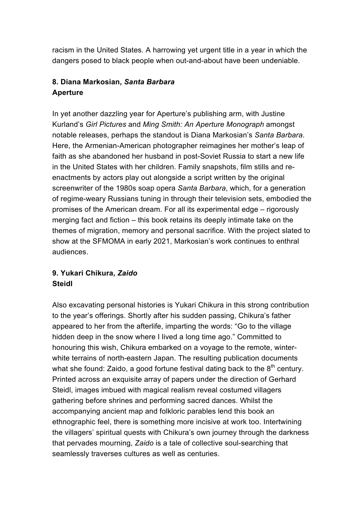racism in the United States. A harrowing yet urgent title in a year in which the dangers posed to black people when out-and-about have been undeniable.

## **8. Diana Markosian,** *Santa Barbara* **Aperture**

In yet another dazzling year for Aperture's publishing arm, with Justine Kurland's *Girl Pictures* and *Ming Smith: An Aperture Monograph* amongst notable releases, perhaps the standout is Diana Markosian's *Santa Barbara*. Here, the Armenian-American photographer reimagines her mother's leap of faith as she abandoned her husband in post-Soviet Russia to start a new life in the United States with her children. Family snapshots, film stills and reenactments by actors play out alongside a script written by the original screenwriter of the 1980s soap opera *Santa Barbara*, which, for a generation of regime-weary Russians tuning in through their television sets, embodied the promises of the American dream. For all its experimental edge – rigorously merging fact and fiction – this book retains its deeply intimate take on the themes of migration, memory and personal sacrifice. With the project slated to show at the SFMOMA in early 2021, Markosian's work continues to enthral audiences.

## **9. Yukari Chikura,** *Zaido* **Steidl**

Also excavating personal histories is Yukari Chikura in this strong contribution to the year's offerings. Shortly after his sudden passing, Chikura's father appeared to her from the afterlife, imparting the words: "Go to the village hidden deep in the snow where I lived a long time ago." Committed to honouring this wish, Chikura embarked on a voyage to the remote, winterwhite terrains of north-eastern Japan. The resulting publication documents what she found: Zaido, a good fortune festival dating back to the  $8<sup>th</sup>$  century. Printed across an exquisite array of papers under the direction of Gerhard Steidl, images imbued with magical realism reveal costumed villagers gathering before shrines and performing sacred dances. Whilst the accompanying ancient map and folkloric parables lend this book an ethnographic feel, there is something more incisive at work too. Intertwining the villagers' spiritual quests with Chikura's own journey through the darkness that pervades mourning, *Zaido* is a tale of collective soul-searching that seamlessly traverses cultures as well as centuries.